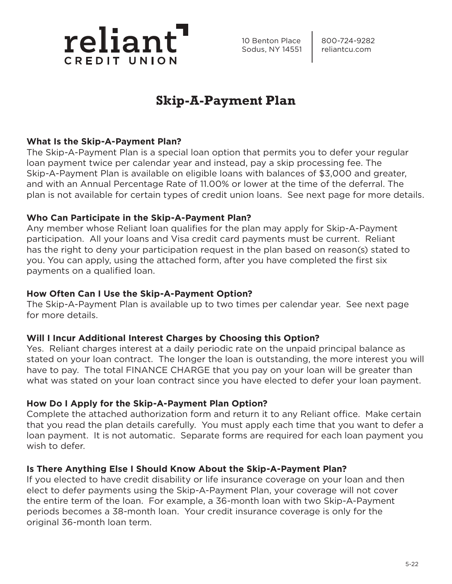

10 Benton Place | 800-724-9282 Sodus, NY 14551 | reliantcu.com

# **Skip-A-Payment Plan**

## **What Is the Skip-A-Payment Plan?**

The Skip-A-Payment Plan is a special loan option that permits you to defer your regular loan payment twice per calendar year and instead, pay a skip processing fee. The Skip-A-Payment Plan is available on eligible loans with balances of \$3,000 and greater, and with an Annual Percentage Rate of 11.00% or lower at the time of the deferral. The plan is not available for certain types of credit union loans. See next page for more details.

### **Who Can Participate in the Skip-A-Payment Plan?**

Any member whose Reliant loan qualifies for the plan may apply for Skip-A-Payment participation. All your loans and Visa credit card payments must be current. Reliant has the right to deny your participation request in the plan based on reason(s) stated to you. You can apply, using the attached form, after you have completed the first six payments on a qualified loan.

### **How Often Can I Use the Skip-A-Payment Option?**

The Skip-A-Payment Plan is available up to two times per calendar year. See next page for more details.

### **Will I Incur Additional Interest Charges by Choosing this Option?**

Yes. Reliant charges interest at a daily periodic rate on the unpaid principal balance as stated on your loan contract. The longer the loan is outstanding, the more interest you will have to pay. The total FINANCE CHARGE that you pay on your loan will be greater than what was stated on your loan contract since you have elected to defer your loan payment.

## **How Do I Apply for the Skip-A-Payment Plan Option?**

Complete the attached authorization form and return it to any Reliant office. Make certain that you read the plan details carefully. You must apply each time that you want to defer a loan payment. It is not automatic. Separate forms are required for each loan payment you wish to defer.

### **Is There Anything Else I Should Know About the Skip-A-Payment Plan?**

If you elected to have credit disability or life insurance coverage on your loan and then elect to defer payments using the Skip-A-Payment Plan, your coverage will not cover the entire term of the loan. For example, a 36-month loan with two Skip-A-Payment periods becomes a 38-month loan. Your credit insurance coverage is only for the original 36-month loan term.